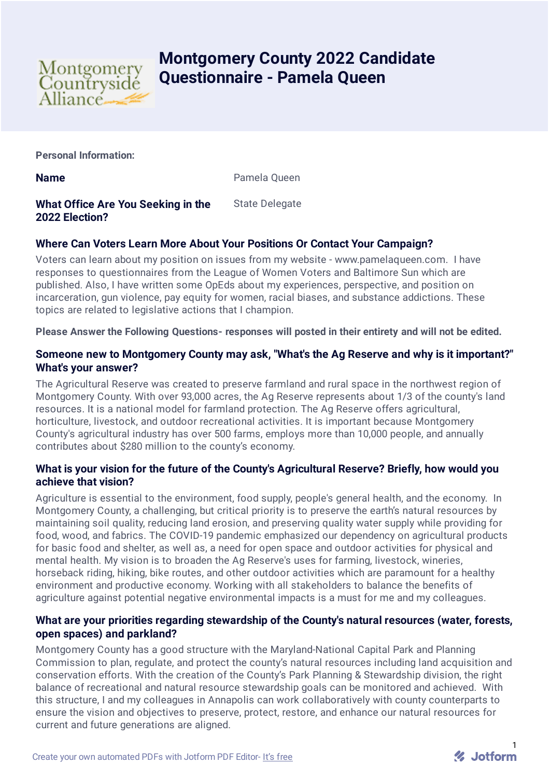

# **Montgomery County 2022 Candidate Questionnaire - Pamela Queen**

**Personal Information:**

**Name** Pamela Queen

#### **What Office Are You Seeking in the 2022 Election?** State Delegate

# **Where Can Voters Learn More About Your Positions Or Contact Your Campaign?**

Voters can learn about my position on issues from my website - www.pamelaqueen.com. I have responses to questionnaires from the League of Women Voters and Baltimore Sun which are published. Also, I have written some OpEds about my experiences, perspective, and position on incarceration, gun violence, pay equity for women, racial biases, and substance addictions. These topics are related to legislative actions that I champion.

**Please Answer the Following Questions- responses will posted in their entirety and will not be edited.**

## **Someone new to Montgomery County may ask, "What's the Ag Reserve and why is it important?" What's your answer?**

The Agricultural Reserve was created to preserve farmland and rural space in the northwest region of Montgomery County. With over 93,000 acres, the Ag Reserve represents about 1/3 of the county's land resources. It is a national model for farmland protection. The Ag Reserve offers agricultural, horticulture, livestock, and outdoor recreational activities. It is important because Montgomery County's agricultural industry has over 500 farms, employs more than 10,000 people, and annually contributes about \$280 million to the county's economy.

### **What is your vision for the future of the County's Agricultural Reserve? Briefly, how would you achieve that vision?**

Agriculture is essential to the environment, food supply, people's general health, and the economy. In Montgomery County, a challenging, but critical priority is to preserve the earth's natural resources by maintaining soil quality, reducing land erosion, and preserving quality water supply while providing for food, wood, and fabrics. The COVID-19 pandemic emphasized our dependency on agricultural products for basic food and shelter, as well as, a need for open space and outdoor activities for physical and mental health. My vision is to broaden the Ag Reserve's uses for farming, livestock, wineries, horseback riding, hiking, bike routes, and other outdoor activities which are paramount for a healthy environment and productive economy. Working with all stakeholders to balance the benefits of agriculture against potential negative environmental impacts is a must for me and my colleagues.

### **What are your priorities regarding stewardship of the County's natural resources (water, forests, open spaces) and parkland?**

Montgomery County has a good structure with the Maryland-National Capital Park and Planning Commission to plan, regulate, and protect the county's natural resources including land acquisition and conservation efforts. With the creation of the County's Park Planning & Stewardship division, the right balance of recreational and natural resource stewardship goals can be monitored and achieved. With this structure, I and my colleagues in Annapolis can work collaboratively with county counterparts to ensure the vision and objectives to preserve, protect, restore, and enhance our natural resources for current and future generations are aligned.

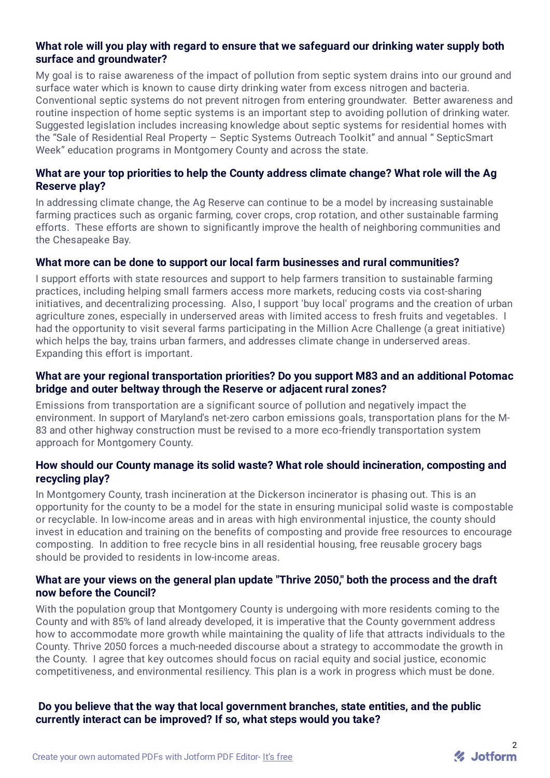#### **What role will you play with regard to ensure that we safeguard our drinking water supply both surface and groundwater?**

My goal is to raise awareness of the impact of pollution from septic system drains into our ground and surface water which is known to cause dirty drinking water from excess nitrogen and bacteria. Conventional septic systems do not prevent nitrogen from entering groundwater. Better awareness and routine inspection of home septic systems is an important step to avoiding pollution of drinking water. Suggested legislation includes increasing knowledge about septic systems for residential homes with the "Sale of Residential Real Property – Septic Systems Outreach Toolkit" and annual " SepticSmart Week" education programs in Montgomery County and across the state.

### **What are your top priorities to help the County address climate change? What role will the Ag Reserve play?**

In addressing climate change, the Ag Reserve can continue to be a model by increasing sustainable farming practices such as organic farming, cover crops, crop rotation, and other sustainable farming efforts. These efforts are shown to significantly improve the health of neighboring communities and the Chesapeake Bay.

#### **What more can be done to support our local farm businesses and rural communities?**

I support efforts with state resources and support to help farmers transition to sustainable farming practices, including helping small farmers access more markets, reducing costs via cost-sharing initiatives, and decentralizing processing. Also, I support 'buy local' programs and the creation of urban agriculture zones, especially in underserved areas with limited access to fresh fruits and vegetables. I had the opportunity to visit several farms participating in the Million Acre Challenge (a great initiative) which helps the bay, trains urban farmers, and addresses climate change in underserved areas. Expanding this effort is important.

#### **What are your regional transportation priorities? Do you support M83 and an additional Potomac bridge and outer beltway through the Reserve or adjacent rural zones?**

Emissions from transportation are a significant source of pollution and negatively impact the environment. In support of Maryland's net-zero carbon emissions goals, transportation plans for the M-83 and other highway construction must be revised to a more eco-friendly transportation system approach for Montgomery County.

#### **How should our County manage its solid waste? What role should incineration, composting and recycling play?**

In Montgomery County, trash incineration at the Dickerson incinerator is phasing out. This is an opportunity for the county to be a model for the state in ensuring municipal solid waste is compostable or recyclable. In low-income areas and in areas with high environmental injustice, the county should invest in education and training on the benefits of composting and provide free resources to encourage composting. In addition to free recycle bins in all residential housing, free reusable grocery bags should be provided to residents in low-income areas.

#### **What are your views on the general plan update "Thrive 2050," both the process and the draft now before the Council?**

With the population group that Montgomery County is undergoing with more residents coming to the County and with 85% of land already developed, it is imperative that the County government address how to accommodate more growth while maintaining the quality of life that attracts individuals to the County. Thrive 2050 forces a much-needed discourse about a strategy to accommodate the growth in the County. I agree that key outcomes should focus on racial equity and social justice, economic competitiveness, and environmental resiliency. This plan is a work in progress which must be done.

#### **Do you believe that the way that local government branches, state entities, and the public currently interact can be improved? If so, what steps would you take?**